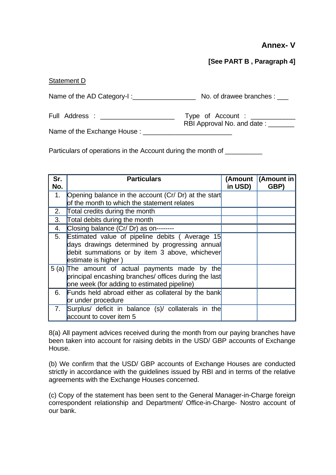## **Annex- V**

## **[See PART B , Paragraph 4]**

## Statement D

| Name of the AD Category-I:      | No. of drawee branches :                               |
|---------------------------------|--------------------------------------------------------|
| Full Address : ________________ | Type of Account : ______<br>RBI Approval No. and date: |
| Name of the Exchange House:     |                                                        |

Particulars of operations in the Account during the month of

| Sr.<br>No. | <b>Particulars</b>                                                                                                                                                               | in USD) | (Amount   (Amount in<br>GBP) |
|------------|----------------------------------------------------------------------------------------------------------------------------------------------------------------------------------|---------|------------------------------|
| 1.         | Opening balance in the account (Cr/ Dr) at the start<br>of the month to which the statement relates                                                                              |         |                              |
| 2.         | Total credits during the month                                                                                                                                                   |         |                              |
| 3.         | Total debits during the month                                                                                                                                                    |         |                              |
| 4.         | Closing balance (Cr/ Dr) as on--------                                                                                                                                           |         |                              |
| 5.         | <b>Estimated value of pipeline debits (Average 15</b><br>days drawings determined by progressing annual<br>debit summations or by item 3 above, whichever<br>estimate is higher) |         |                              |
|            | 5 (a) The amount of actual payments made by the<br>principal encashing branches/ offices during the last<br>one week (for adding to estimated pipeline)                          |         |                              |
| 6.         | Funds held abroad either as collateral by the bank<br>or under procedure                                                                                                         |         |                              |
| 7.         | Surplus/ deficit in balance (s)/ collaterals in the<br>account to cover item 5                                                                                                   |         |                              |

8(a) All payment advices received during the month from our paying branches have been taken into account for raising debits in the USD/ GBP accounts of Exchange House.

(b) We confirm that the USD/ GBP accounts of Exchange Houses are conducted strictly in accordance with the guidelines issued by RBI and in terms of the relative agreements with the Exchange Houses concerned.

(c) Copy of the statement has been sent to the General Manager-in-Charge foreign correspondent relationship and Department/ Office-in-Charge- Nostro account of our bank.

29